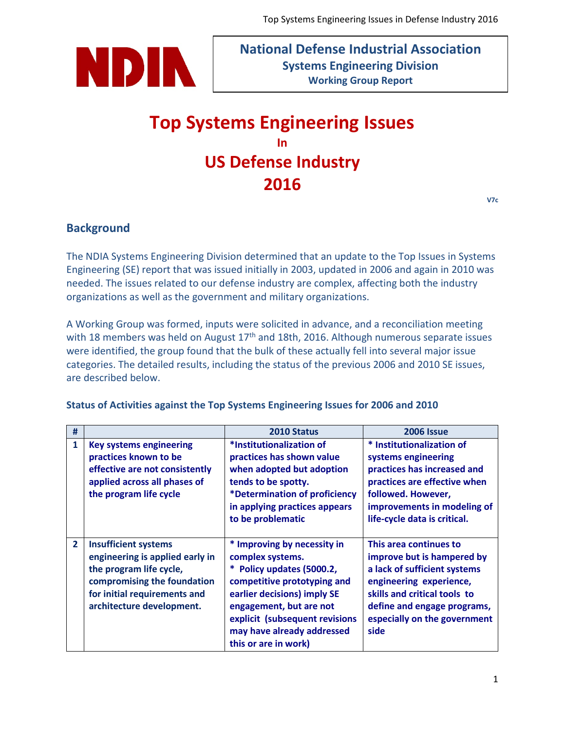

**National Defense Industrial Association Systems Engineering Division Working Group Report**

# **Top Systems Engineering Issues In US Defense Industry 2016**

# **Background**

The NDIA Systems Engineering Division determined that an update to the Top Issues in Systems Engineering (SE) report that was issued initially in 2003, updated in 2006 and again in 2010 was needed. The issues related to our defense industry are complex, affecting both the industry organizations as well as the government and military organizations.

A Working Group was formed, inputs were solicited in advance, and a reconciliation meeting with 18 members was held on August  $17<sup>th</sup>$  and 18th, 2016. Although numerous separate issues were identified, the group found that the bulk of these actually fell into several major issue categories. The detailed results, including the status of the previous 2006 and 2010 SE issues, are described below.

| #              |                                 | 2010 Status                    | <b>2006 Issue</b>            |
|----------------|---------------------------------|--------------------------------|------------------------------|
| $\mathbf{1}$   | <b>Key systems engineering</b>  | *Institutionalization of       | * Institutionalization of    |
|                | practices known to be           | practices has shown value      | systems engineering          |
|                | effective are not consistently  | when adopted but adoption      | practices has increased and  |
|                | applied across all phases of    | tends to be spotty.            | practices are effective when |
|                | the program life cycle          | *Determination of proficiency  | followed. However,           |
|                |                                 | in applying practices appears  | improvements in modeling of  |
|                |                                 | to be problematic              | life-cycle data is critical. |
|                |                                 |                                |                              |
| $\overline{2}$ | <b>Insufficient systems</b>     | * Improving by necessity in    | This area continues to       |
|                | engineering is applied early in | complex systems.               | improve but is hampered by   |
|                | the program life cycle,         | Policy updates (5000.2,        | a lack of sufficient systems |
|                | compromising the foundation     | competitive prototyping and    | engineering experience,      |
|                | for initial requirements and    | earlier decisions) imply SE    | skills and critical tools to |
|                | architecture development.       | engagement, but are not        | define and engage programs,  |
|                |                                 | explicit (subsequent revisions | especially on the government |
|                |                                 | may have already addressed     | side                         |
|                |                                 | this or are in work)           |                              |

#### **Status of Activities against the Top Systems Engineering Issues for 2006 and 2010**

**V7c**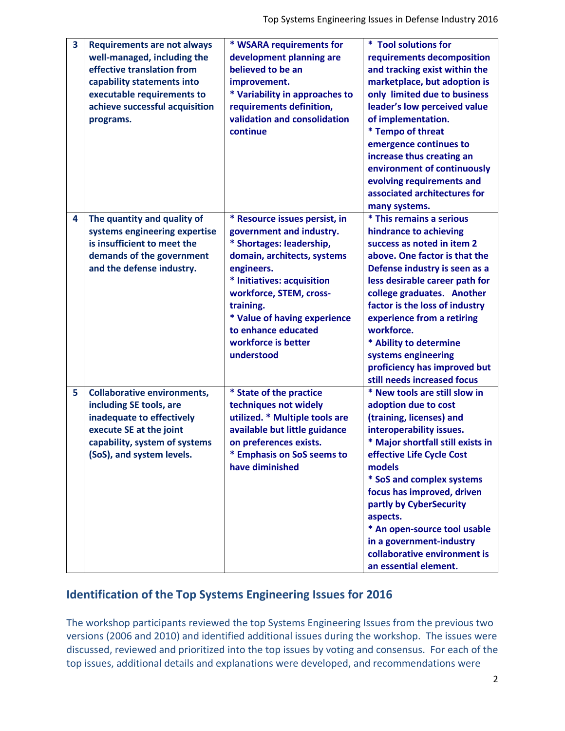| $\overline{\mathbf{3}}$ | <b>Requirements are not always</b><br>well-managed, including the<br>effective translation from<br>capability statements into<br>executable requirements to<br>achieve successful acquisition<br>programs. | * WSARA requirements for<br>development planning are<br>believed to be an<br>improvement.<br>* Variability in approaches to<br>requirements definition,<br>validation and consolidation<br>continue                                                                                                  | * Tool solutions for<br>requirements decomposition<br>and tracking exist within the<br>marketplace, but adoption is<br>only limited due to business<br>leader's low perceived value<br>of implementation.<br>* Tempo of threat<br>emergence continues to<br>increase thus creating an<br>environment of continuously<br>evolving requirements and<br>associated architectures for<br>many systems.               |
|-------------------------|------------------------------------------------------------------------------------------------------------------------------------------------------------------------------------------------------------|------------------------------------------------------------------------------------------------------------------------------------------------------------------------------------------------------------------------------------------------------------------------------------------------------|------------------------------------------------------------------------------------------------------------------------------------------------------------------------------------------------------------------------------------------------------------------------------------------------------------------------------------------------------------------------------------------------------------------|
| 4                       | The quantity and quality of<br>systems engineering expertise<br>is insufficient to meet the<br>demands of the government<br>and the defense industry.                                                      | * Resource issues persist, in<br>government and industry.<br>* Shortages: leadership,<br>domain, architects, systems<br>engineers.<br>* Initiatives: acquisition<br>workforce, STEM, cross-<br>training.<br>* Value of having experience<br>to enhance educated<br>workforce is better<br>understood | * This remains a serious<br>hindrance to achieving<br>success as noted in item 2<br>above. One factor is that the<br>Defense industry is seen as a<br>less desirable career path for<br>college graduates. Another<br>factor is the loss of industry<br>experience from a retiring<br>workforce.<br>* Ability to determine<br>systems engineering<br>proficiency has improved but<br>still needs increased focus |
| 5                       | <b>Collaborative environments,</b><br>including SE tools, are<br>inadequate to effectively<br>execute SE at the joint<br>capability, system of systems<br>(SoS), and system levels.                        | * State of the practice<br>techniques not widely<br>utilized. * Multiple tools are<br>available but little guidance<br>on preferences exists.<br><b>Emphasis on SoS seems to</b><br>have diminished                                                                                                  | * New tools are still slow in<br>adoption due to cost<br>(training, licenses) and<br>interoperability issues.<br>* Major shortfall still exists in<br>effective Life Cycle Cost<br>models<br>* SoS and complex systems<br>focus has improved, driven<br>partly by CyberSecurity<br>aspects.<br>* An open-source tool usable<br>in a government-industry<br>collaborative environment is<br>an essential element. |

# **Identification of the Top Systems Engineering Issues for 2016**

The workshop participants reviewed the top Systems Engineering Issues from the previous two versions (2006 and 2010) and identified additional issues during the workshop. The issues were discussed, reviewed and prioritized into the top issues by voting and consensus. For each of the top issues, additional details and explanations were developed, and recommendations were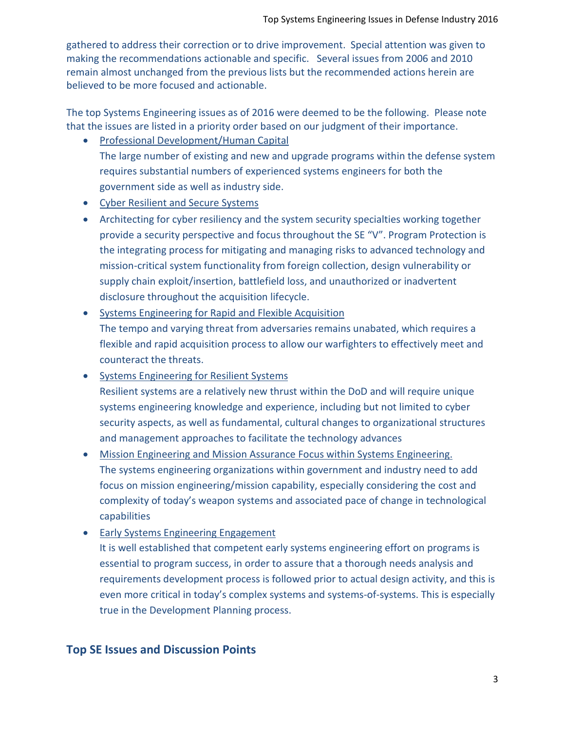gathered to address their correction or to drive improvement. Special attention was given to making the recommendations actionable and specific. Several issues from 2006 and 2010 remain almost unchanged from the previous lists but the recommended actions herein are believed to be more focused and actionable.

The top Systems Engineering issues as of 2016 were deemed to be the following. Please note that the issues are listed in a priority order based on our judgment of their importance.

- Professional Development/Human Capital The large number of existing and new and upgrade programs within the defense system requires substantial numbers of experienced systems engineers for both the government side as well as industry side.
- Cyber Resilient and Secure Systems
- Architecting for cyber resiliency and the system security specialties working together provide a security perspective and focus throughout the SE "V". Program Protection is the integrating process for mitigating and managing risks to advanced technology and mission-critical system functionality from foreign collection, design vulnerability or supply chain exploit/insertion, battlefield loss, and unauthorized or inadvertent disclosure throughout the acquisition lifecycle.
- Systems Engineering for Rapid and Flexible Acquisition The tempo and varying threat from adversaries remains unabated, which requires a flexible and rapid acquisition process to allow our warfighters to effectively meet and counteract the threats.
- Systems Engineering for Resilient Systems Resilient systems are a relatively new thrust within the DoD and will require unique systems engineering knowledge and experience, including but not limited to cyber security aspects, as well as fundamental, cultural changes to organizational structures and management approaches to facilitate the technology advances
- Mission Engineering and Mission Assurance Focus within Systems Engineering. The systems engineering organizations within government and industry need to add focus on mission engineering/mission capability, especially considering the cost and complexity of today's weapon systems and associated pace of change in technological capabilities
- Early Systems Engineering Engagement

It is well established that competent early systems engineering effort on programs is essential to program success, in order to assure that a thorough needs analysis and requirements development process is followed prior to actual design activity, and this is even more critical in today's complex systems and systems-of-systems. This is especially true in the Development Planning process.

# **Top SE Issues and Discussion Points**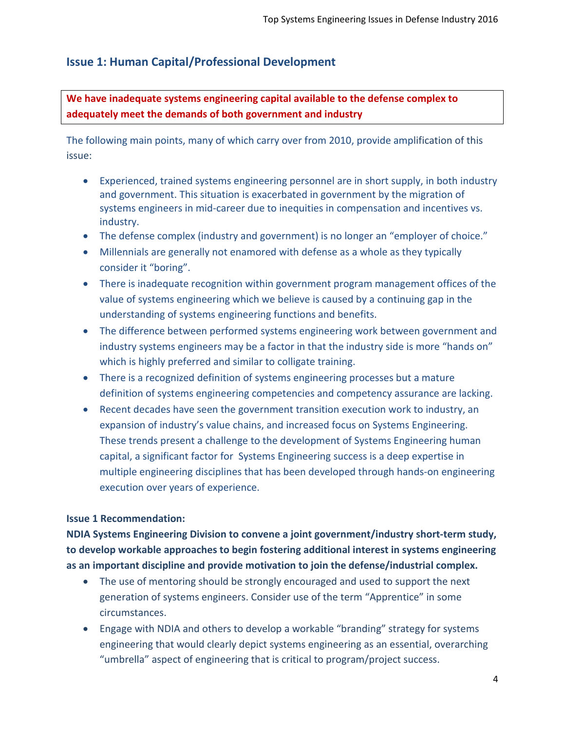# **Issue 1: Human Capital/Professional Development**

**We have inadequate systems engineering capital available to the defense complex to adequately meet the demands of both government and industry**

The following main points, many of which carry over from 2010, provide amplification of this issue:

- Experienced, trained systems engineering personnel are in short supply, in both industry and government. This situation is exacerbated in government by the migration of systems engineers in mid-career due to inequities in compensation and incentives vs. industry.
- The defense complex (industry and government) is no longer an "employer of choice."
- Millennials are generally not enamored with defense as a whole as they typically consider it "boring".
- There is inadequate recognition within government program management offices of the value of systems engineering which we believe is caused by a continuing gap in the understanding of systems engineering functions and benefits.
- The difference between performed systems engineering work between government and industry systems engineers may be a factor in that the industry side is more "hands on" which is highly preferred and similar to colligate training.
- There is a recognized definition of systems engineering processes but a mature definition of systems engineering competencies and competency assurance are lacking.
- Recent decades have seen the government transition execution work to industry, an expansion of industry's value chains, and increased focus on Systems Engineering. These trends present a challenge to the development of Systems Engineering human capital, a significant factor for Systems Engineering success is a deep expertise in multiple engineering disciplines that has been developed through hands-on engineering execution over years of experience.

#### **Issue 1 Recommendation:**

**NDIA Systems Engineering Division to convene a joint government/industry short-term study, to develop workable approaches to begin fostering additional interest in systems engineering as an important discipline and provide motivation to join the defense/industrial complex.**

- The use of mentoring should be strongly encouraged and used to support the next generation of systems engineers. Consider use of the term "Apprentice" in some circumstances.
- Engage with NDIA and others to develop a workable "branding" strategy for systems engineering that would clearly depict systems engineering as an essential, overarching "umbrella" aspect of engineering that is critical to program/project success.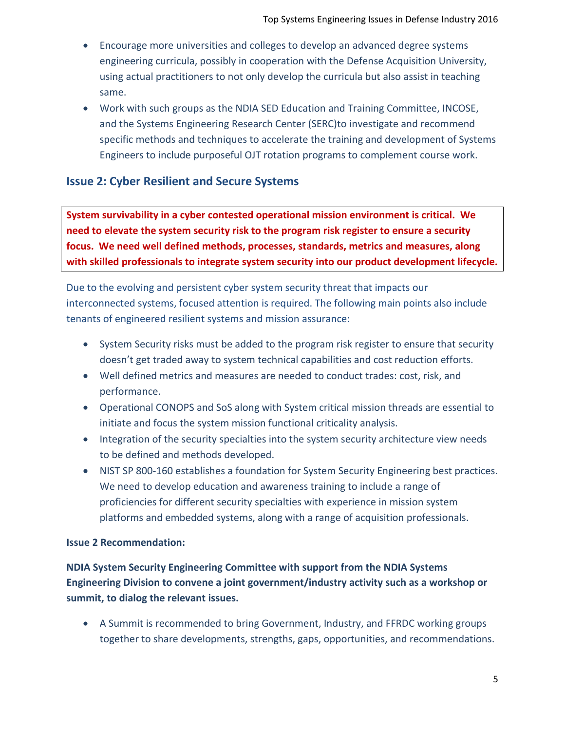- Encourage more universities and colleges to develop an advanced degree systems engineering curricula, possibly in cooperation with the Defense Acquisition University, using actual practitioners to not only develop the curricula but also assist in teaching same.
- Work with such groups as the NDIA SED Education and Training Committee, INCOSE, and the Systems Engineering Research Center (SERC)to investigate and recommend specific methods and techniques to accelerate the training and development of Systems Engineers to include purposeful OJT rotation programs to complement course work.

# **Issue 2: Cyber Resilient and Secure Systems**

**System survivability in a cyber contested operational mission environment is critical. We need to elevate the system security risk to the program risk register to ensure a security focus. We need well defined methods, processes, standards, metrics and measures, along with skilled professionals to integrate system security into our product development lifecycle.**

Due to the evolving and persistent cyber system security threat that impacts our interconnected systems, focused attention is required. The following main points also include tenants of engineered resilient systems and mission assurance:

- System Security risks must be added to the program risk register to ensure that security doesn't get traded away to system technical capabilities and cost reduction efforts.
- Well defined metrics and measures are needed to conduct trades: cost, risk, and performance.
- Operational CONOPS and SoS along with System critical mission threads are essential to initiate and focus the system mission functional criticality analysis.
- Integration of the security specialties into the system security architecture view needs to be defined and methods developed.
- NIST SP 800-160 establishes a foundation for System Security Engineering best practices. We need to develop education and awareness training to include a range of proficiencies for different security specialties with experience in mission system platforms and embedded systems, along with a range of acquisition professionals.

#### **Issue 2 Recommendation:**

**NDIA System Security Engineering Committee with support from the NDIA Systems Engineering Division to convene a joint government/industry activity such as a workshop or summit, to dialog the relevant issues.**

• A Summit is recommended to bring Government, Industry, and FFRDC working groups together to share developments, strengths, gaps, opportunities, and recommendations.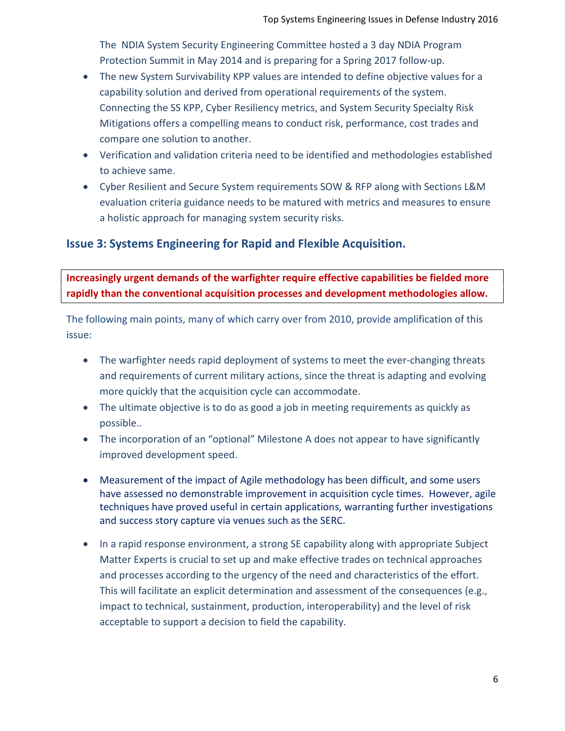The NDIA System Security Engineering Committee hosted a 3 day NDIA Program Protection Summit in May 2014 and is preparing for a Spring 2017 follow-up.

- The new System Survivability KPP values are intended to define objective values for a capability solution and derived from operational requirements of the system. Connecting the SS KPP, Cyber Resiliency metrics, and System Security Specialty Risk Mitigations offers a compelling means to conduct risk, performance, cost trades and compare one solution to another.
- Verification and validation criteria need to be identified and methodologies established to achieve same.
- Cyber Resilient and Secure System requirements SOW & RFP along with Sections L&M evaluation criteria guidance needs to be matured with metrics and measures to ensure a holistic approach for managing system security risks.

# **Issue 3: Systems Engineering for Rapid and Flexible Acquisition.**

**Increasingly urgent demands of the warfighter require effective capabilities be fielded more rapidly than the conventional acquisition processes and development methodologies allow.**

The following main points, many of which carry over from 2010, provide amplification of this issue:

- The warfighter needs rapid deployment of systems to meet the ever-changing threats and requirements of current military actions, since the threat is adapting and evolving more quickly that the acquisition cycle can accommodate.
- The ultimate objective is to do as good a job in meeting requirements as quickly as possible..
- The incorporation of an "optional" Milestone A does not appear to have significantly improved development speed.
- Measurement of the impact of Agile methodology has been difficult, and some users have assessed no demonstrable improvement in acquisition cycle times. However, agile techniques have proved useful in certain applications, warranting further investigations and success story capture via venues such as the SERC.
- In a rapid response environment, a strong SE capability along with appropriate Subject Matter Experts is crucial to set up and make effective trades on technical approaches and processes according to the urgency of the need and characteristics of the effort. This will facilitate an explicit determination and assessment of the consequences (e.g., impact to technical, sustainment, production, interoperability) and the level of risk acceptable to support a decision to field the capability.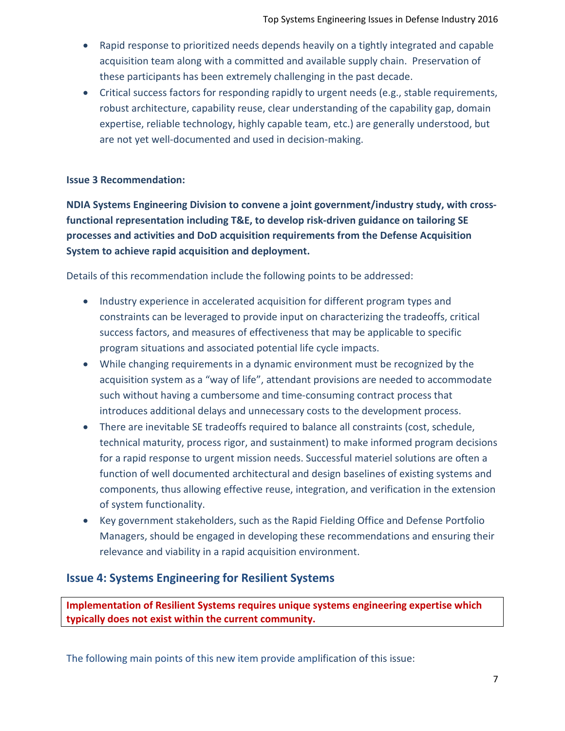- Rapid response to prioritized needs depends heavily on a tightly integrated and capable acquisition team along with a committed and available supply chain. Preservation of these participants has been extremely challenging in the past decade.
- Critical success factors for responding rapidly to urgent needs (e.g., stable requirements, robust architecture, capability reuse, clear understanding of the capability gap, domain expertise, reliable technology, highly capable team, etc.) are generally understood, but are not yet well-documented and used in decision-making.

#### **Issue 3 Recommendation:**

**NDIA Systems Engineering Division to convene a joint government/industry study, with crossfunctional representation including T&E, to develop risk-driven guidance on tailoring SE processes and activities and DoD acquisition requirements from the Defense Acquisition System to achieve rapid acquisition and deployment.**

Details of this recommendation include the following points to be addressed:

- Industry experience in accelerated acquisition for different program types and constraints can be leveraged to provide input on characterizing the tradeoffs, critical success factors, and measures of effectiveness that may be applicable to specific program situations and associated potential life cycle impacts.
- While changing requirements in a dynamic environment must be recognized by the acquisition system as a "way of life", attendant provisions are needed to accommodate such without having a cumbersome and time-consuming contract process that introduces additional delays and unnecessary costs to the development process.
- There are inevitable SE tradeoffs required to balance all constraints (cost, schedule, technical maturity, process rigor, and sustainment) to make informed program decisions for a rapid response to urgent mission needs. Successful materiel solutions are often a function of well documented architectural and design baselines of existing systems and components, thus allowing effective reuse, integration, and verification in the extension of system functionality.
- Key government stakeholders, such as the Rapid Fielding Office and Defense Portfolio Managers, should be engaged in developing these recommendations and ensuring their relevance and viability in a rapid acquisition environment.

# **Issue 4: Systems Engineering for Resilient Systems**

**Implementation of Resilient Systems requires unique systems engineering expertise which typically does not exist within the current community.**

The following main points of this new item provide amplification of this issue: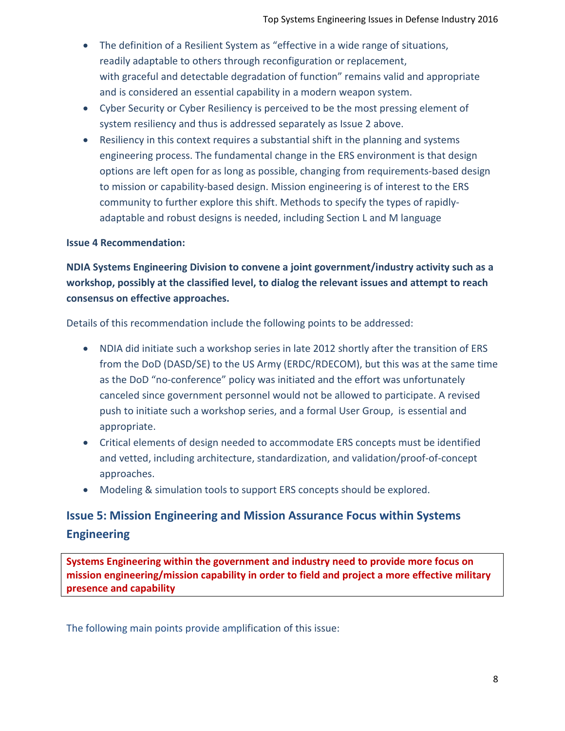- The definition of a Resilient System as "effective in a wide range of situations, readily adaptable to others through reconfiguration or replacement, with graceful and detectable degradation of function" remains valid and appropriate and is considered an essential capability in a modern weapon system.
- Cyber Security or Cyber Resiliency is perceived to be the most pressing element of system resiliency and thus is addressed separately as Issue 2 above.
- Resiliency in this context requires a substantial shift in the planning and systems engineering process. The fundamental change in the ERS environment is that design options are left open for as long as possible, changing from requirements-based design to mission or capability-based design. Mission engineering is of interest to the ERS community to further explore this shift. Methods to specify the types of rapidlyadaptable and robust designs is needed, including Section L and M language

#### **Issue 4 Recommendation:**

# **NDIA Systems Engineering Division to convene a joint government/industry activity such as a workshop, possibly at the classified level, to dialog the relevant issues and attempt to reach consensus on effective approaches.**

Details of this recommendation include the following points to be addressed:

- NDIA did initiate such a workshop series in late 2012 shortly after the transition of ERS from the DoD (DASD/SE) to the US Army (ERDC/RDECOM), but this was at the same time as the DoD "no-conference" policy was initiated and the effort was unfortunately canceled since government personnel would not be allowed to participate. A revised push to initiate such a workshop series, and a formal User Group, is essential and appropriate.
- Critical elements of design needed to accommodate ERS concepts must be identified and vetted, including architecture, standardization, and validation/proof-of-concept approaches.
- Modeling & simulation tools to support ERS concepts should be explored.

# **Issue 5: Mission Engineering and Mission Assurance Focus within Systems Engineering**

**Systems Engineering within the government and industry need to provide more focus on mission engineering/mission capability in order to field and project a more effective military presence and capability**

The following main points provide amplification of this issue: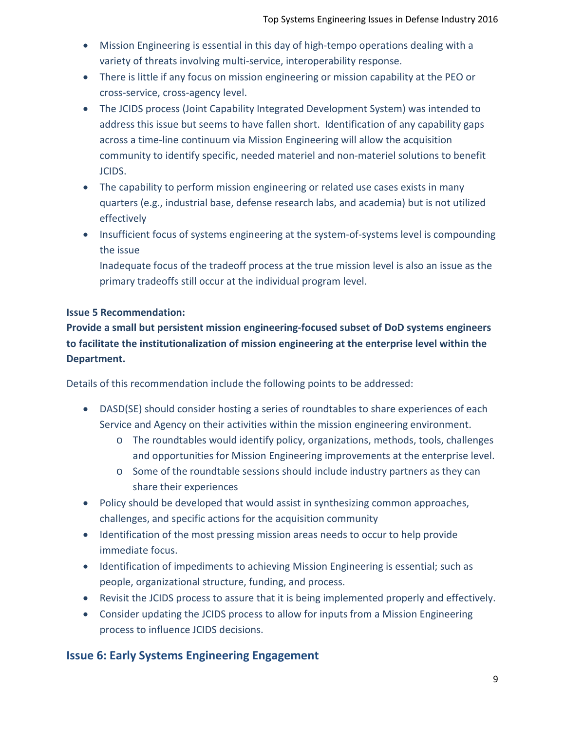- Mission Engineering is essential in this day of high-tempo operations dealing with a variety of threats involving multi-service, interoperability response.
- There is little if any focus on mission engineering or mission capability at the PEO or cross-service, cross-agency level.
- The JCIDS process (Joint Capability Integrated Development System) was intended to address this issue but seems to have fallen short. Identification of any capability gaps across a time-line continuum via Mission Engineering will allow the acquisition community to identify specific, needed materiel and non-materiel solutions to benefit JCIDS.
- The capability to perform mission engineering or related use cases exists in many quarters (e.g., industrial base, defense research labs, and academia) but is not utilized effectively
- Insufficient focus of systems engineering at the system-of-systems level is compounding the issue

Inadequate focus of the tradeoff process at the true mission level is also an issue as the primary tradeoffs still occur at the individual program level.

#### **Issue 5 Recommendation:**

**Provide a small but persistent mission engineering-focused subset of DoD systems engineers to facilitate the institutionalization of mission engineering at the enterprise level within the Department.**

Details of this recommendation include the following points to be addressed:

- DASD(SE) should consider hosting a series of roundtables to share experiences of each Service and Agency on their activities within the mission engineering environment.
	- o The roundtables would identify policy, organizations, methods, tools, challenges and opportunities for Mission Engineering improvements at the enterprise level.
	- o Some of the roundtable sessions should include industry partners as they can share their experiences
- Policy should be developed that would assist in synthesizing common approaches, challenges, and specific actions for the acquisition community
- Identification of the most pressing mission areas needs to occur to help provide immediate focus.
- Identification of impediments to achieving Mission Engineering is essential; such as people, organizational structure, funding, and process.
- Revisit the JCIDS process to assure that it is being implemented properly and effectively.
- Consider updating the JCIDS process to allow for inputs from a Mission Engineering process to influence JCIDS decisions.

# **Issue 6: Early Systems Engineering Engagement**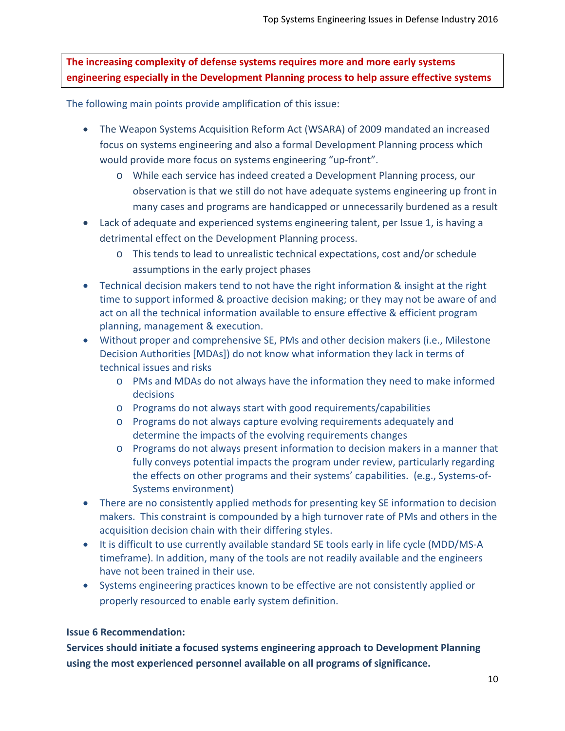**The increasing complexity of defense systems requires more and more early systems engineering especially in the Development Planning process to help assure effective systems**

The following main points provide amplification of this issue:

- The Weapon Systems Acquisition Reform Act (WSARA) of 2009 mandated an increased focus on systems engineering and also a formal Development Planning process which would provide more focus on systems engineering "up-front".
	- o While each service has indeed created a Development Planning process, our observation is that we still do not have adequate systems engineering up front in many cases and programs are handicapped or unnecessarily burdened as a result
- Lack of adequate and experienced systems engineering talent, per Issue 1, is having a detrimental effect on the Development Planning process.
	- o This tends to lead to unrealistic technical expectations, cost and/or schedule assumptions in the early project phases
- Technical decision makers tend to not have the right information & insight at the right time to support informed & proactive decision making; or they may not be aware of and act on all the technical information available to ensure effective & efficient program planning, management & execution.
- Without proper and comprehensive SE, PMs and other decision makers (i.e., Milestone Decision Authorities [MDAs]) do not know what information they lack in terms of technical issues and risks
	- o PMs and MDAs do not always have the information they need to make informed decisions
	- o Programs do not always start with good requirements/capabilities
	- o Programs do not always capture evolving requirements adequately and determine the impacts of the evolving requirements changes
	- o Programs do not always present information to decision makers in a manner that fully conveys potential impacts the program under review, particularly regarding the effects on other programs and their systems' capabilities. (e.g., Systems-of-Systems environment)
- There are no consistently applied methods for presenting key SE information to decision makers. This constraint is compounded by a high turnover rate of PMs and others in the acquisition decision chain with their differing styles.
- It is difficult to use currently available standard SE tools early in life cycle (MDD/MS-A timeframe). In addition, many of the tools are not readily available and the engineers have not been trained in their use.
- Systems engineering practices known to be effective are not consistently applied or properly resourced to enable early system definition.

#### **Issue 6 Recommendation:**

**Services should initiate a focused systems engineering approach to Development Planning using the most experienced personnel available on all programs of significance.**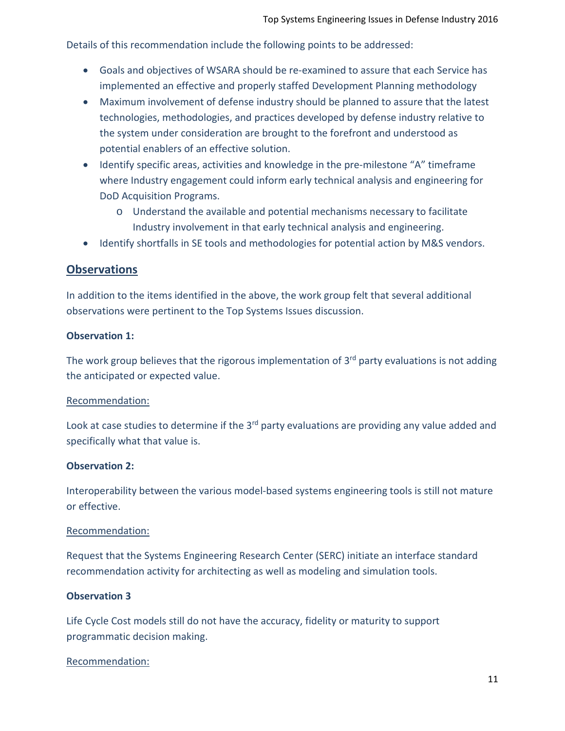Details of this recommendation include the following points to be addressed:

- Goals and objectives of WSARA should be re-examined to assure that each Service has implemented an effective and properly staffed Development Planning methodology
- Maximum involvement of defense industry should be planned to assure that the latest technologies, methodologies, and practices developed by defense industry relative to the system under consideration are brought to the forefront and understood as potential enablers of an effective solution.
- Identify specific areas, activities and knowledge in the pre-milestone "A" timeframe where Industry engagement could inform early technical analysis and engineering for DoD Acquisition Programs.
	- o Understand the available and potential mechanisms necessary to facilitate Industry involvement in that early technical analysis and engineering.
- Identify shortfalls in SE tools and methodologies for potential action by M&S vendors.

#### **Observations**

In addition to the items identified in the above, the work group felt that several additional observations were pertinent to the Top Systems Issues discussion.

#### **Observation 1:**

The work group believes that the rigorous implementation of  $3<sup>rd</sup>$  party evaluations is not adding the anticipated or expected value.

#### Recommendation:

Look at case studies to determine if the 3<sup>rd</sup> party evaluations are providing any value added and specifically what that value is.

#### **Observation 2:**

Interoperability between the various model-based systems engineering tools is still not mature or effective.

#### Recommendation:

Request that the Systems Engineering Research Center (SERC) initiate an interface standard recommendation activity for architecting as well as modeling and simulation tools.

#### **Observation 3**

Life Cycle Cost models still do not have the accuracy, fidelity or maturity to support programmatic decision making.

#### Recommendation: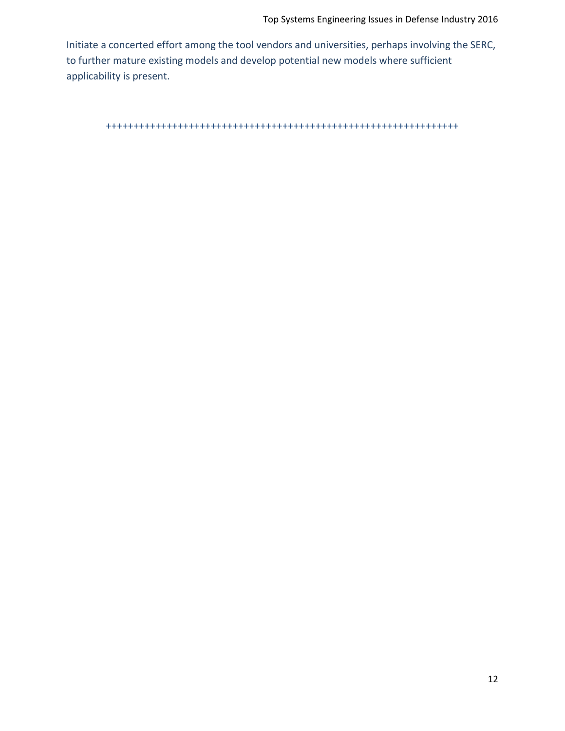Initiate a concerted effort among the tool vendors and universities, perhaps involving the SERC, to further mature existing models and develop potential new models where sufficient applicability is present.

++++++++++++++++++++++++++++++++++++++++++++++++++++++++++++++++